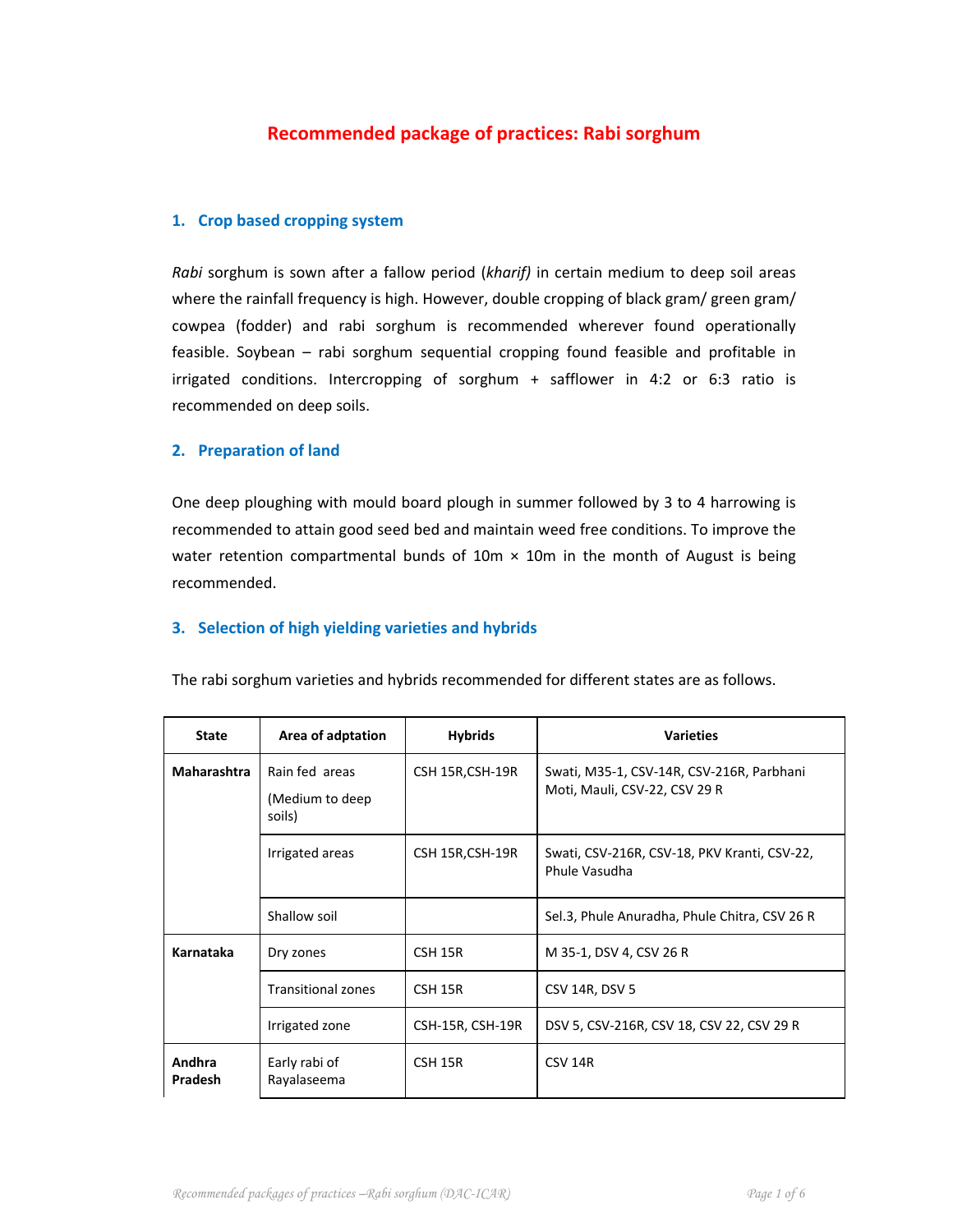# **Recommended package of practices: Rabi sorghum**

## **1. Crop based cropping system**

*Rabi* sorghum is sown after a fallow period (*kharif)* in certain medium to deep soil areas where the rainfall frequency is high. However, double cropping of black gram/ green gram/ cowpea (fodder) and rabi sorghum is recommended wherever found operationally feasible. Soybean – rabi sorghum sequential cropping found feasible and profitable in irrigated conditions. Intercropping of sorghum + safflower in 4:2 or 6:3 ratio is recommended on deep soils.

## **2. Preparation of land**

One deep ploughing with mould board plough in summer followed by 3 to 4 harrowing is recommended to attain good seed bed and maintain weed free conditions. To improve the water retention compartmental bunds of  $10m \times 10m$  in the month of August is being recommended.

## **3. Selection of high yielding varieties and hybrids**

| <b>State</b>      | Area of adptation                            | <b>Hybrids</b>   | <b>Varieties</b>                                                           |
|-------------------|----------------------------------------------|------------------|----------------------------------------------------------------------------|
| Maharashtra       | Rain fed areas<br>(Medium to deep)<br>soils) | CSH 15R, CSH-19R | Swati, M35-1, CSV-14R, CSV-216R, Parbhani<br>Moti, Mauli, CSV-22, CSV 29 R |
|                   | Irrigated areas                              | CSH 15R, CSH-19R | Swati, CSV-216R, CSV-18, PKV Kranti, CSV-22,<br>Phule Vasudha              |
|                   | Shallow soil                                 |                  | Sel.3, Phule Anuradha, Phule Chitra, CSV 26 R                              |
| Karnataka         | Dry zones                                    | CSH 15R          | M 35-1, DSV 4, CSV 26 R                                                    |
|                   | <b>Transitional zones</b>                    | CSH 15R          | CSV 14R, DSV 5                                                             |
|                   | Irrigated zone                               | CSH-15R, CSH-19R | DSV 5, CSV-216R, CSV 18, CSV 22, CSV 29 R                                  |
| Andhra<br>Pradesh | Early rabi of<br>Rayalaseema                 | CSH 15R          | CSV <sub>14R</sub>                                                         |

The rabi sorghum varieties and hybrids recommended for different states are as follows.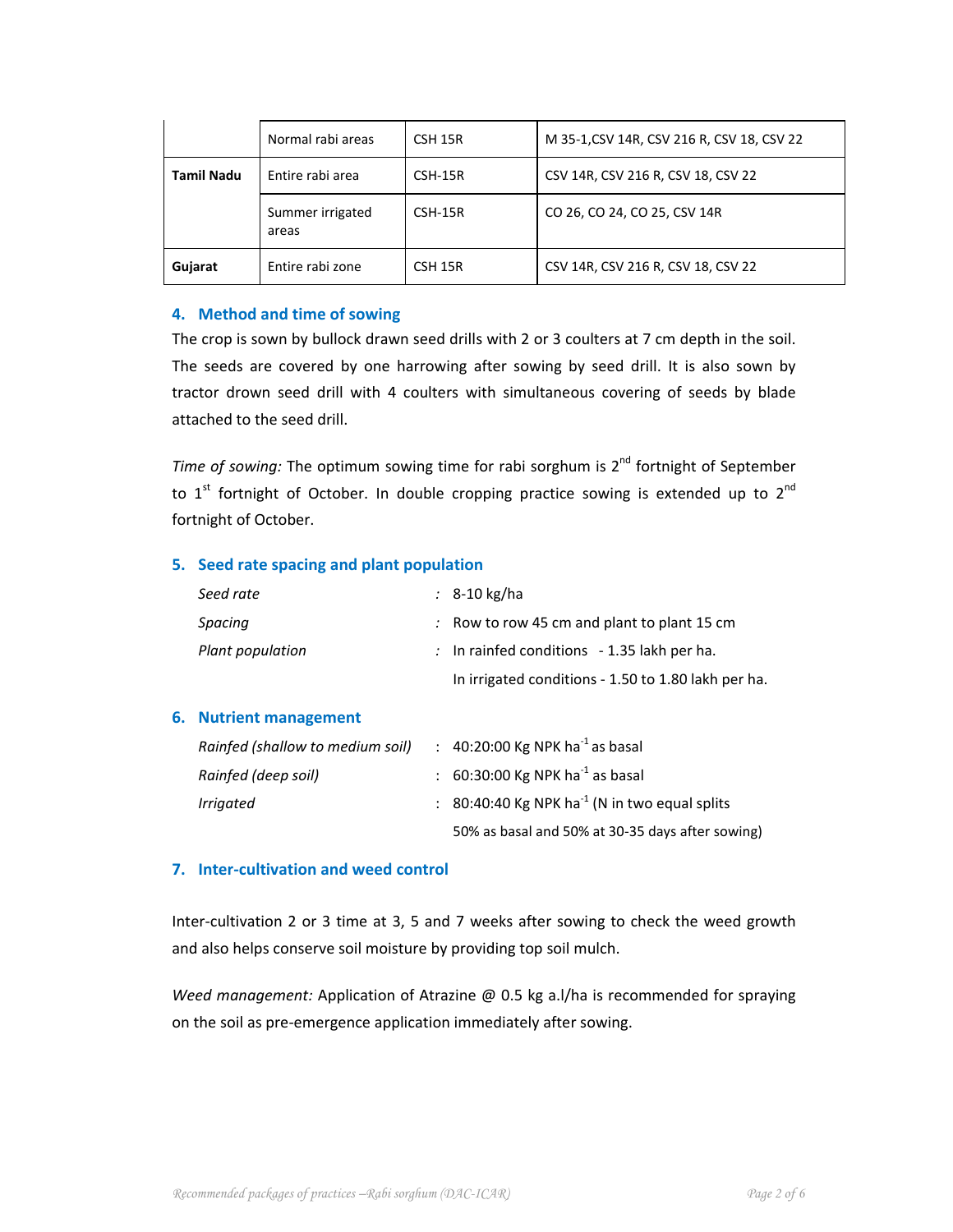|                   | Normal rabi areas         | CSH 15R   | M 35-1, CSV 14R, CSV 216 R, CSV 18, CSV 22 |  |
|-------------------|---------------------------|-----------|--------------------------------------------|--|
| <b>Tamil Nadu</b> | Entire rabi area          | CSH-15R   | CSV 14R, CSV 216 R, CSV 18, CSV 22         |  |
|                   | Summer irrigated<br>areas | $CSH-15R$ | CO 26, CO 24, CO 25, CSV 14R               |  |
| Gujarat           | Entire rabi zone          | CSH 15R   | CSV 14R, CSV 216 R, CSV 18, CSV 22         |  |

## **4. Method and time of sowing**

The crop is sown by bullock drawn seed drills with 2 or 3 coulters at 7 cm depth in the soil. The seeds are covered by one harrowing after sowing by seed drill. It is also sown by tractor drown seed drill with 4 coulters with simultaneous covering of seeds by blade attached to the seed drill.

*Time of sowing:* The optimum sowing time for rabi sorghum is 2<sup>nd</sup> fortnight of September to  $1<sup>st</sup>$  fortnight of October. In double cropping practice sowing is extended up to  $2<sup>nd</sup>$ fortnight of October.

## **5. Seed rate spacing and plant population**

| Seed rate                        |    | $\therefore$ 8-10 kg/ha                                 |
|----------------------------------|----|---------------------------------------------------------|
| Spacing                          |    | $\therefore$ Row to row 45 cm and plant to plant 15 cm  |
| Plant population                 |    | : In rainfed conditions $-1.35$ lakh per ha.            |
|                                  |    | In irrigated conditions - 1.50 to 1.80 lakh per ha.     |
| 6. Nutrient management           |    |                                                         |
| Rainfed (shallow to medium soil) |    | : 40:20:00 Kg NPK ha <sup>-1</sup> as basal             |
| Rainfed (deep soil)              | ÷. | 60:30:00 Kg NPK ha $^{-1}$ as basal                     |
| <i><u><b>Irrigated</b></u></i>   |    | 80:40:40 Kg NPK ha <sup>-1</sup> (N in two equal splits |
|                                  |    | 50% as basal and 50% at 30-35 days after sowing)        |

## **7. Inter‐cultivation and weed control**

Inter-cultivation 2 or 3 time at 3, 5 and 7 weeks after sowing to check the weed growth and also helps conserve soil moisture by providing top soil mulch.

*Weed management:* Application of Atrazine @ 0.5 kg a.l/ha is recommended for spraying on the soil as pre‐emergence application immediately after sowing.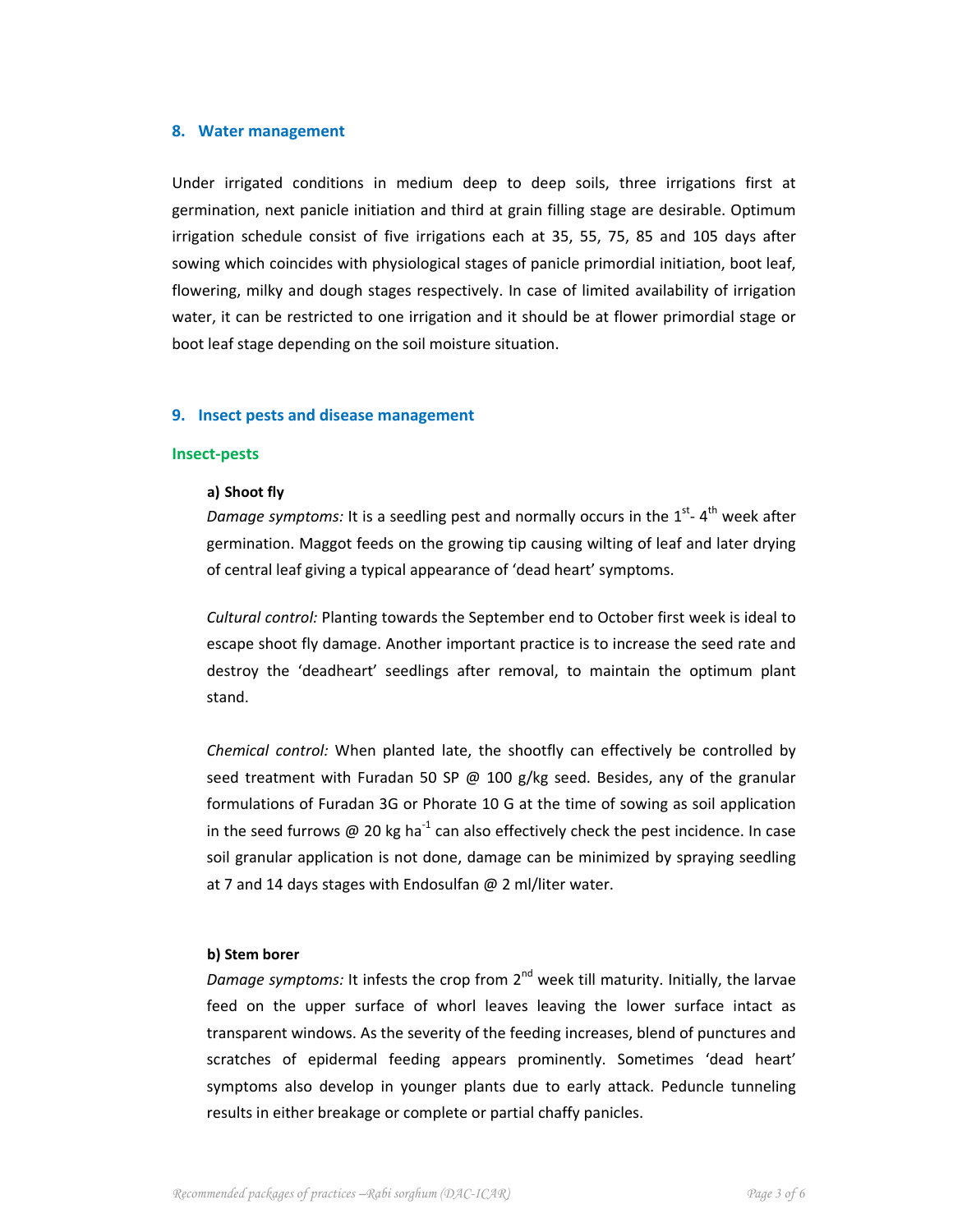### **8. Water management**

Under irrigated conditions in medium deep to deep soils, three irrigations first at germination, next panicle initiation and third at grain filling stage are desirable. Optimum irrigation schedule consist of five irrigations each at 35, 55, 75, 85 and 105 days after sowing which coincides with physiological stages of panicle primordial initiation, boot leaf, flowering, milky and dough stages respectively. In case of limited availability of irrigation water, it can be restricted to one irrigation and it should be at flower primordial stage or boot leaf stage depending on the soil moisture situation.

## **9. Insect pests and disease management**

### **Insect‐pests**

### **a) Shoot fly**

Damage symptoms: It is a seedling pest and normally occurs in the 1<sup>st</sup>-4<sup>th</sup> week after germination. Maggot feeds on the growing tip causing wilting of leaf and later drying of central leaf giving a typical appearance of 'dead heart' symptoms.

*Cultural control:* Planting towards the September end to October first week is ideal to escape shoot fly damage. Another important practice is to increase the seed rate and destroy the 'deadheart' seedlings after removal, to maintain the optimum plant stand.

*Chemical control:* When planted late, the shootfly can effectively be controlled by seed treatment with Furadan 50 SP  $\omega$  100 g/kg seed. Besides, any of the granular formulations of Furadan 3G or Phorate 10 G at the time of sowing as soil application in the seed furrows @ 20 kg ha<sup>-1</sup> can also effectively check the pest incidence. In case soil granular application is not done, damage can be minimized by spraying seedling at 7 and 14 days stages with Endosulfan  $@$  2 ml/liter water.

#### **b) Stem borer**

*Damage symptoms:* It infests the crop from 2<sup>nd</sup> week till maturity. Initially, the larvae feed on the upper surface of whorl leaves leaving the lower surface intact as transparent windows. As the severity of the feeding increases, blend of punctures and scratches of epidermal feeding appears prominently. Sometimes 'dead heart' symptoms also develop in younger plants due to early attack. Peduncle tunneling results in either breakage or complete or partial chaffy panicles.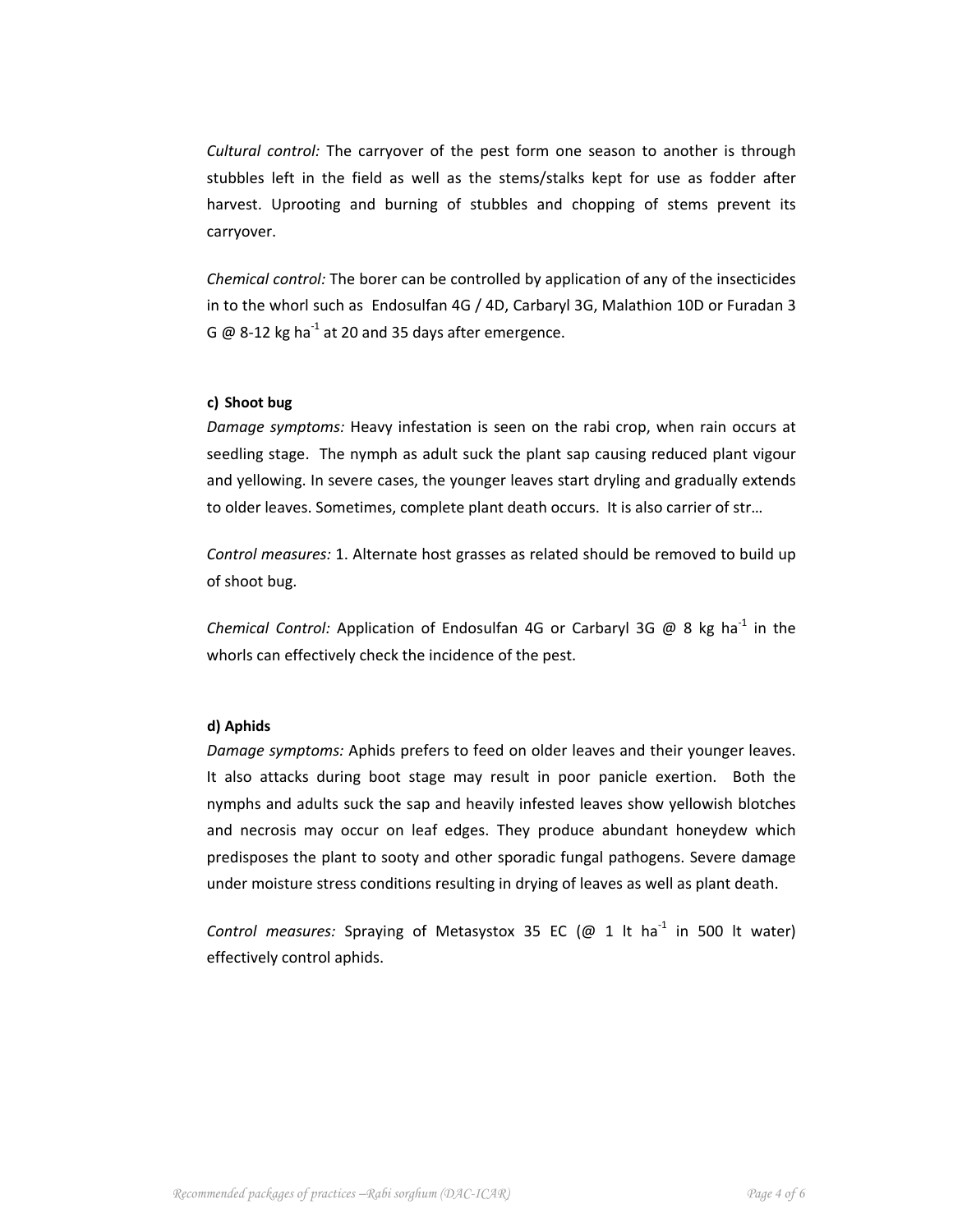*Cultural control:* The carryover of the pest form one season to another is through stubbles left in the field as well as the stems/stalks kept for use as fodder after harvest. Uprooting and burning of stubbles and chopping of stems prevent its carryover.

*Chemical control:* The borer can be controlled by application of any of the insecticides in to the whorl such as Endosulfan 4G / 4D, Carbaryl 3G, Malathion 10D or Furadan 3 G  $\omega$  8-12 kg ha<sup>-1</sup> at 20 and 35 days after emergence.

## **c) Shoot bug**

*Damage symptoms:* Heavy infestation is seen on the rabi crop, when rain occurs at seedling stage. The nymph as adult suck the plant sap causing reduced plant vigour and yellowing. In severe cases, the younger leaves start dryling and gradually extends to older leaves. Sometimes, complete plant death occurs. It is also carrier of str…

*Control measures:* 1. Alternate host grasses as related should be removed to build up of shoot bug.

*Chemical Control:* Application of Endosulfan 4G or Carbaryl 3G @ 8 kg ha‐<sup>1</sup> in the whorls can effectively check the incidence of the pest.

## **d) Aphids**

*Damage symptoms:* Aphids prefers to feed on older leaves and their younger leaves. It also attacks during boot stage may result in poor panicle exertion. Both the nymphs and adults suck the sap and heavily infested leaves show yellowish blotches and necrosis may occur on leaf edges. They produce abundant honeydew which predisposes the plant to sooty and other sporadic fungal pathogens. Severe damage under moisture stress conditions resulting in drying of leaves as well as plant death.

*Control measures:* Spraying of Metasystox 35 EC (@ 1 lt ha‐<sup>1</sup> in 500 lt water) effectively control aphids.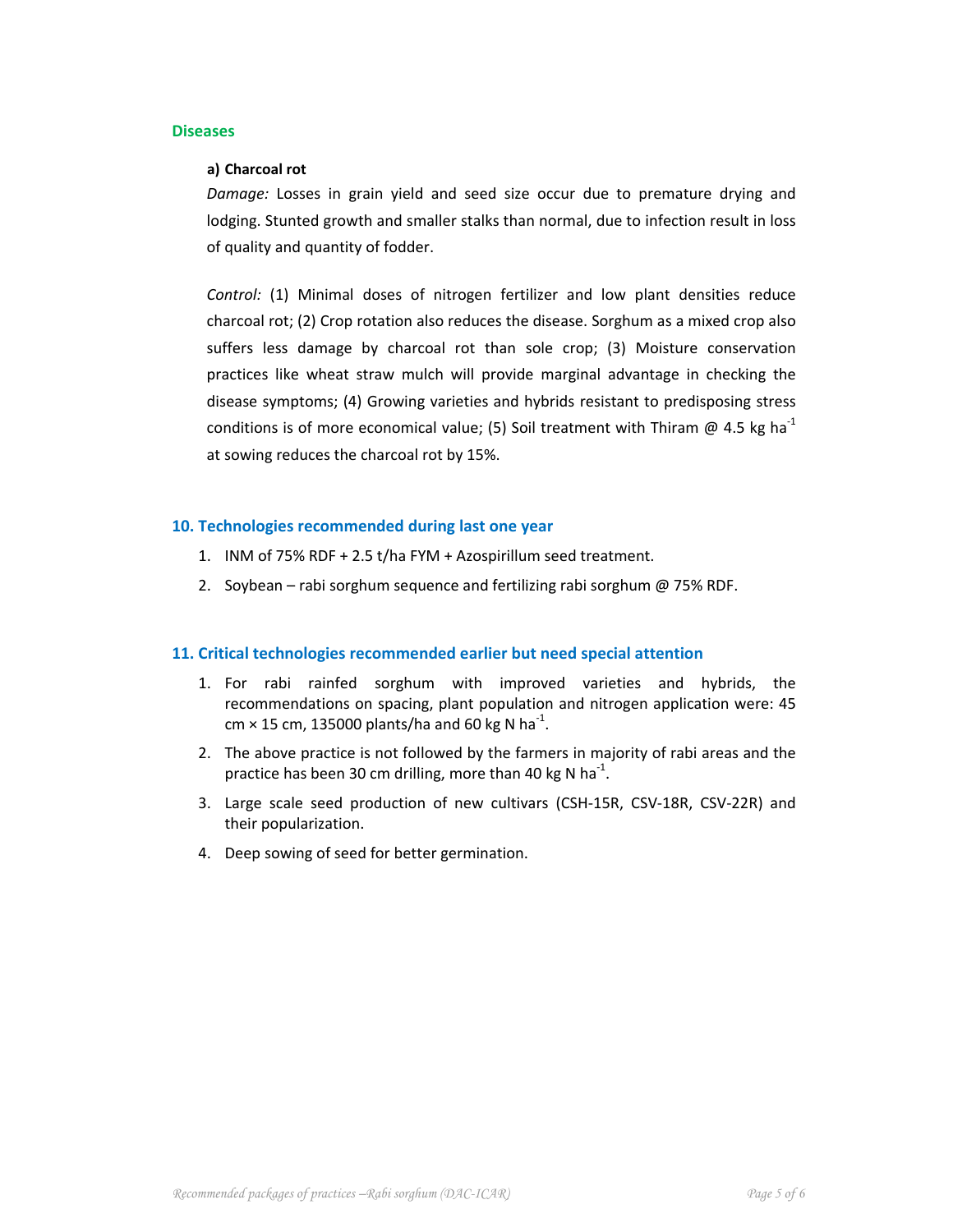### **Diseases**

### **a) Charcoal rot**

*Damage:* Losses in grain yield and seed size occur due to premature drying and lodging. Stunted growth and smaller stalks than normal, due to infection result in loss of quality and quantity of fodder.

*Control:* (1) Minimal doses of nitrogen fertilizer and low plant densities reduce charcoal rot; (2) Crop rotation also reduces the disease. Sorghum as a mixed crop also suffers less damage by charcoal rot than sole crop; (3) Moisture conservation practices like wheat straw mulch will provide marginal advantage in checking the disease symptoms; (4) Growing varieties and hybrids resistant to predisposing stress conditions is of more economical value; (5) Soil treatment with Thiram  $\omega$  4.5 kg ha<sup>-1</sup> at sowing reduces the charcoal rot by 15%.

## **10. Technologies recommended during last one year**

- 1. INM of 75% RDF + 2.5 t/ha FYM + Azospirillum seed treatment.
- 2. Soybean rabi sorghum sequence and fertilizing rabi sorghum @ 75% RDF.

### **11. Critical technologies recommended earlier but need special attention**

- 1. For rabi rainfed sorghum with improved varieties and hybrids, the recommendations on spacing, plant population and nitrogen application were: 45 cm × 15 cm, 135000 plants/ha and 60 kg N ha<sup>-1</sup>.
- 2. The above practice is not followed by the farmers in majority of rabi areas and the practice has been 30 cm drilling, more than 40 kg N ha<sup>-1</sup>.
- 3. Large scale seed production of new cultivars (CSH‐15R, CSV‐18R, CSV‐22R) and their popularization.
- 4. Deep sowing of seed for better germination.